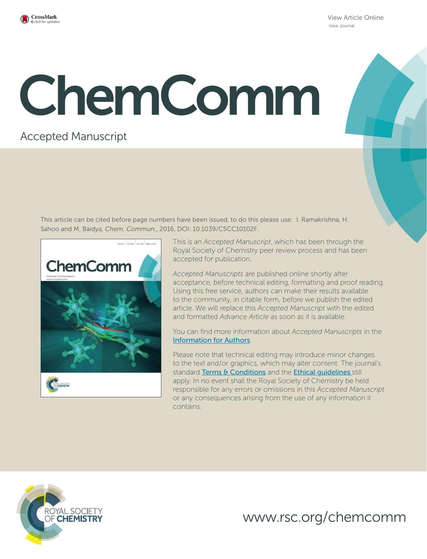

View Article Online View Journal

# ChemComm

# Accepted Manuscript

This article can be cited before page numbers have been issued, to do this please use: I. Ramakrishna, H. Sahoo and M. Baidya*, Chem. Commun.*, 2016, DOI: 10.1039/C5CC10102F.



This is an *Accepted Manuscript*, which has been through the Royal Society of Chemistry peer review process and has been accepted for publication.

*Accepted Manuscripts* are published online shortly after acceptance, before technical editing, formatting and proof reading. Using this free service, authors can make their results available to the community, in citable form, before we publish the edited article. We will replace this *Accepted Manuscript* with the edited and formatted *Advance Article* as soon as it is available.

You can find more information about *Accepted Manuscripts* in the Information for Authors.

Please note that technical editing may introduce minor changes to the text and/or graphics, which may alter content. The journal's standard Terms & Conditions and the Ethical quidelines still apply. In no event shall the Royal Society of Chemistry be held responsible for any errors or omissions in this *Accepted Manuscript* or any consequences arising from the use of any information it contains.



www.rsc.org/chemcomm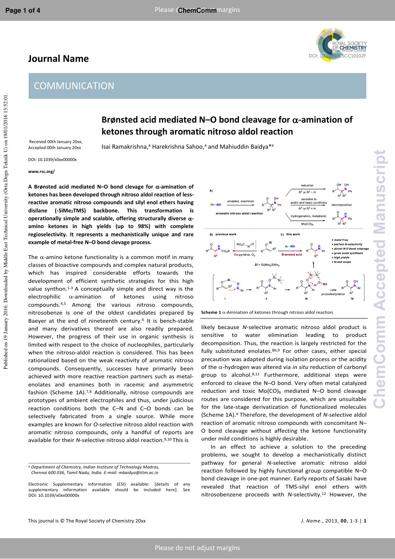## **Journal Name**



### **Brønsted acid mediated N–O bond cleavage for -amination of ketones through aromatic nitroso aldol reaction**

 Received 00th January 20xx, Accepted 00th January 20xx

Isai Ramakrishna,<sup>a</sup> Harekrishna Sahoo,<sup>a</sup> and Mahiuddin Baidya<sup>\*a</sup>

DOI: 10.1039/x0xx00000x

**www.rsc.org/** 

**A Brønsted acid mediated N–O bond clevage for -amination of ketones has been developed through nitroso aldol reaction of lessreactive aromatic nitroso compounds and silyl enol ethers having disilane (-SiMe2TMS) backbone. This transformation is operationally simple and scalable, offering structurally diverse αamino ketones in high yields (up to 98%) with complete regioselectivity. It represents a mechanistically unique and rare example of metal-free N–O bond clevage process.** 

The  $\alpha$ -amino ketone functionality is a common motif in many classes of bioactive compounds and complex natural products, which has inspired considerable efforts towards the development of efficient synthetic strategies for this high value synthon.<sup>1-3</sup> A conceptually simple and direct way is the electrophilic  $\alpha$ -amination of ketones using nitroso compounds.4,5 Among the various nitroso compounds, nitrosobenze is one of the oldest candidates prepared by Baeyer at the end of nineteenth century.<sup>6</sup> It is bench-stable and many derivatives thereof are also readily prepared. However, the progress of their use in organic synthesis is limited with respect to the choice of nucleophiles, particularly when the nitroso-aldol reaction is considered. This has been rationalized based on the weak reactivity of aromatic nitroso compounds. Consequently, successes have primarily been achieved with more reactive reaction partners such as metalenolates and enamines both in racemic and asymmetric fashion (Scheme 1A).<sup>7,8</sup> Additionally, nitroso compounds are prototypes of ambient electrophiles and thus, under judicious reaction conditions both the C–N and C–O bonds can be selectively fabricated from a single source. While more examples are known for *O*-selective nitroso aldol reaction with aromatic nitroso compounds, only a handful of reports are available for their *N*-selective nitroso aldol reaction.9,10 This is



**Scheme 1**  $\alpha$ -Amination of ketones through nitroso aldol reaction.

likely because *N*-selective aromatic nitroso aldol product is sensitive to water elimination leading to product decomposition. Thus, the reaction is largely restricted for the fully substituted enolates. 8b,9 For other cases, either special precaution was adapted during isolation process or the acidity of the  $\alpha$ -hydrogen was altered via *in situ* reduction of carbonyl group to alcohol.8,11 Furthermore, additional steps were enforced to cleave the N–O bond. Very often metal catalyzed reduction and toxic  $Mo(CO)_{6}$  mediated N–O bond cleavage routes are considered for this purpose, which are unsuitable for the late-stage derivatization of functionalized molecules (Scheme 1A).<sup>4</sup> Therefore, the development of *N*-selective aldol reaction of aromatic nitroso compounds with concomitant N– O bond cleavage without affecting the ketone functionality under mild conditions is highly desirable.

 In an effect to achieve a solution to the preceding problems, we sought to develop a mechanistically distinct pathway for general *N*-selective aromatic nitroso aldol reaction followed by highly functional group compatible N–O bond cleavage in one-pot manner. Early reports of Sasaki have revealed that reaction of TMS-silyl enol ethers with nitrosobenzene proceeds with *N*-selectivity.12 However, the

*a.Department of Chemistry, Indian Institute of Technology Madras, Chennai 600 036, Tamil Nadu, India. E-mail: mbaidya@iitm.ac.in* 

Electronic Supplementary Information (ESI) available: [details of any supplementary information available should be included here]. See DOI: 10.1039/x0xx00000x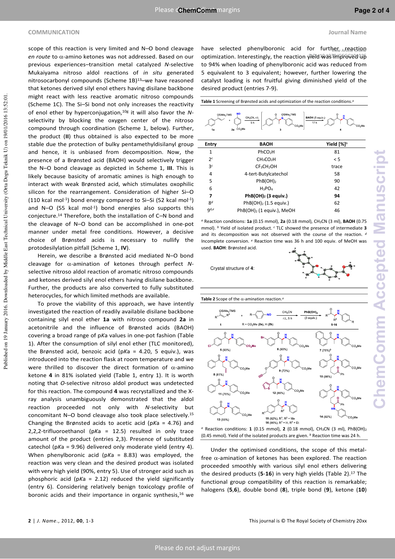#### **COMMUNICATION Journal Name**

scope of this reaction is very limited and N–O bond cleavage *en route* to α-amino ketones was not addressed. Based on our previous experiences–transition metal catalyzed *N*-selective Mukaiyama nitroso aldol reactions of *in situ* generated nitrosocarbonyl compounds (Scheme 1B)<sup>13</sup>-we have reasoned that ketones derived silyl enol ethers having disilane backbone might react with less reactive aromatic nitroso compounds (Scheme 1C). The Si–Si bond not only increases the reactivity of enol ether by hyperconjugation,10g it will also favor the *N*selectivity by blocking the oxygen center of the nitroso compound through coordination (Scheme 1, below). Further, the product (**II**) thus obtained is also expected to be more stable due the protection of bulky pentamethyldisilanyl group and hence, it is unbiased from decomposition. Now, the presence of a Brønsted acid (BAOH) would selectively trigger the N–O bond cleavage as depicted in Scheme 1, **III**. This is likely because basicity of aromatic amines is high enough to interact with weak Brønsted acid, which stimulates oxophilic silicon for the rearrangement. Consideration of higher Si–O (110 kcal mol<sup>-1</sup>) bond energy compared to Si-Si (52 kcal mol<sup>-1</sup>) and N-O (55 kcal mol<sup>-1</sup>) bond energies also supports this conjecture.14 Therefore, both the installation of C–N bond and the cleavage of N–O bond can be accomplished in one-pot manner under metal free conditions. However, a decisive choice of Brønsted acids is necessary to nullify the protodesilylation pitfall (Scheme 1, **IV**).

Herein, we describe a Brønsted acid mediated N–O bond cleavage for  $\alpha$ -amination of ketones through perfect  $N$ selective nitroso aldol reaction of aromatic nitroso compounds and ketones derived silyl enol ethers having disilane backbone. Further, the products are also converted to fully substituted heterocycles, for which limited methods are available.

To prove the viability of this approach, we have intently investigated the reaction of readily available disilane backbone containing silyl enol ether **1a** with nitroso compound **2a** in acetonitrile and the influence of Brønsted acids (BAOH) covering a broad range of p*K*a values in one-pot fashion (Table 1). After the consumption of silyl enol ether (TLC monitored), the Brønsted acid, benzoic acid (p*K*a = 4.20, 5 equiv.), was introduced into the reaction flask at room temperature and we were thrilled to discover the direct formation of  $\alpha$ -amino ketone **4** in 81% isolated yield (Table 1, entry 1). It is worth noting that *O*-selective nitroso aldol product was undetected for this reaction. The compound **4** was recrystallized and the Xray analysis unambiguously demonstrated that the aldol reaction proceeded not only with *N*-selectivity but concomitant N–O bond cleavage also took place selectively.<sup>15</sup> Changing the Brønsted acids to acetic acid (p*K*a = 4.76) and 2,2,2-trifluoroethanol (p*K*a = 12.5) resulted in only trace amount of the product (entries 2,3). Presence of substituted catechol (p*K*a = 9.96) delivered only moderate yield (entry 4). When phenylboronic acid (p*K*a = 8.83) was employed, the reaction was very clean and the desired product was isolated with very high yield (90%, entry 5). Use of stronger acid such as phosphoric acid (p*K*a = 2.12) reduced the yield significantly (entry 6). Considering relatively benign toxicology profile of boronic acids and their importance in organic synthesis,<sup>16</sup> we

have selected phenylboronic acid for further Arteaction optimization. Interestingly, the reaction yield was improved up to 94% when loading of phenylboronic acid was reduced from 5 equivalent to 3 equivalent; however, further lowering the catalyst loading is not fruitful giving diminished yield of the desired product (entries 7-9).

**Table 1** Screening of Brønsted acids and optimization of the reaction conditions.*<sup>a</sup>*



| Entry          | <b>BAOH</b>                           | Yield $[%]$ <sup>b</sup> |
|----------------|---------------------------------------|--------------------------|
| 1              | PhCO <sub>2</sub> H                   | 81                       |
| 2c             | CH <sub>3</sub> CO <sub>2</sub> H     | < 5                      |
| 3 <sup>c</sup> | CF <sub>3</sub> CH <sub>2</sub> OH    | trace                    |
| 4              | 4-tert-Butylcatechol                  | 58                       |
| 5              | PhB(OH) <sub>2</sub>                  | 90                       |
| 6              | $H_3PO_4$                             | 42                       |
| 7              | $PhB(OH)2$ (3 equiv.)                 | 94                       |
| 8 <sup>d</sup> | $PhB(OH)2$ (1.5 equiv.)               | 62                       |
| $q$ d,e        | PhB(OH) <sub>2</sub> (1 equiv.), MeOH | 46                       |

*a* Reaction conditions: **1a** (0.15 mmol), **2a** (0.18 mmol), CH3CN (3 ml), **BAOH** (0.75 mmol). *<sup>b</sup>* Yield of isolated product. *c* TLC showed the presence of intermediate **3** and its decomposition was not observed with the course of the reaction. *<sup>d</sup>* Incomplete conversion. *<sup>e</sup>* Reaction time was 36 h and 100 equiv. of MeOH was used. **BAOH**: Brønsted acid.







 Under the optimised conditions, the scope of this metalfree  $\alpha$ -amination of ketones has been explored. The reaction proceeded smoothly with various silyl enol ethers delivering the desired products (**5**-**16**) in very high yields (Table 2).17 The functional group compatibility of this reaction is remarkable; halogens (**5**,**6**), double bond (**8**), triple bond (**9**), ketone (**10**)

Published on 19 January 2016. Downloaded by Middle East Technical University (Orta Dogu Teknik U) on 19/01/2016 13:52:01. Published on 19 January 2016. Downloaded by Middle East Technical University (Orta Dogu Teknik U) on 19/01/2016 13:52:01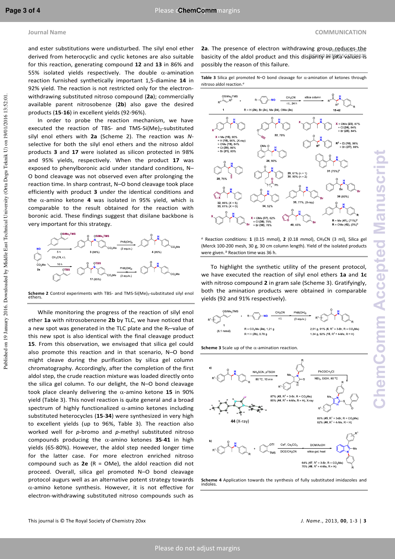and ester substitutions were undisturbed. The silyl enol ether derived from heterocyclic and cyclic ketones are also suitable for this reaction, generating compound **12** and **13** in 86% and 55% isolated yields respectively. The double  $\alpha$ -amination reaction furnished synthetically important 1,5-diamine **14** in 92% yield. The reaction is not restricted only for the electronwithdrawing substituted nitroso compound (**2a**); commercially available parent nitrosobenze (**2b**) also gave the desired products (**15**-**16**) in excellent yields (92-96%).

 In order to probe the reaction mechanism, we have executed the reaction of TBS- and TMS-Si(Me)<sub>2</sub>-substituted silyl enol ethers with **2a** (Scheme 2). The reaction was *N*selective for both the silyl enol ethers and the nitroso aldol products **3** and **17** were isolated as silicon protected in 98% and 95% yields, respectively. When the product **17** was exposed to phenylboronic acid under standard conditions, N– O bond cleavage was not observed even after prolonging the reaction time. In sharp contrast, N–O bond cleavage took place efficiently with product **3** under the identical conditions and the  $\alpha$ -amino ketone **4** was isolated in 95% yield, which is comparable to the result obtained for the reaction with boronic acid. These findings suggest that disilane backbone is very important for this strategy.



**Scheme 2** Control experiments with TBS- and TMS-Si(Me)<sub>2</sub>-substituted silyl enol ethers.

 While monitoring the progress of the reaction of silyl enol ether **1a** with nitrosobenzene **2b** by TLC, we have noticed that a new spot was generated in the TLC plate and the  $R_f$ -value of this new spot is also identical with the final cleavage product **15**. From this observation, we envisaged that silica gel could also promote this reaction and in that scenario, N–O bond might cleave during the purification by silica gel column chromatography. Accordingly, after the completion of the first aldol step, the crude reaction mixture was loaded directly onto the silica gel column. To our delight, the N–O bond cleavage took place cleanly delivering the  $\alpha$ -amino ketone 15 in 90% yield (Table 3). This novel reaction is quite general and a broad spectrum of highly functionalized  $\alpha$ -amino ketones including substituted heterocycles (**15**-**34**) were synthesized in very high to excellent yields (up to 96%, Table 3). The reaction also worked well for *p*-bromo and *p*-methyl substituted nitroso compounds producing the  $\alpha$ -amino ketones 35-41 in high yields (65-80%). However, the aldol step needed longer time for the latter case. For more electron enriched nitroso compound such as **2e** (R = OMe), the aldol reaction did not proceed. Overall, silica gel promoted N–O bond cleavage protocol augurs well as an alternative potent strategy towards  $\alpha$ -amino ketone synthesis. However, it is not effective for electron-withdrawing substituted nitroso compounds such as

2a. The presence of electron withdrawing group<sub>viene</sub>duces the basicity of the aldol product and this disparity in p*K*a values is possibly the reason of this failure.

**Table 3** Silica gel promoted N–O bond cleavage for  $\alpha$ -amination of ketones through nitroso aldol reaction.*<sup>a</sup>*



*a* Reaction conditions: **1** (0.15 mmol), **2** (0.18 mmol), CH3CN (3 ml), Silica gel (Merck 100-200 mesh, 30 g, 30 cm column length). Yield of the isolated products were given. *b* Reaction time was 36 h.

 To highlight the synthetic utility of the present protocol, we have executed the reaction of silyl enol ethers **1a** and **1c** with nitroso compound **2** in gram sale (Scheme 3). Gratifyingly, both the amination products were obtained in comparable yields (92 and 91% respectively).



**Scheme 3** Scale up of the  $\alpha$ -amination reaction



**Scheme 4** Application towards the synthesis of fully substituted imidazoles and indoles.